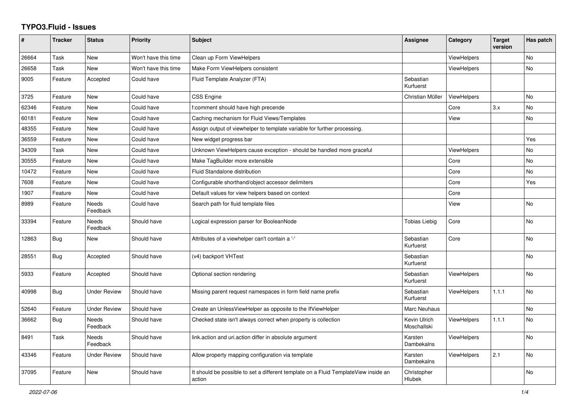## **TYPO3.Fluid - Issues**

| #     | <b>Tracker</b> | <b>Status</b>            | Priority             | Subject                                                                                       | Assignee                    | Category           | <b>Target</b><br>version | Has patch      |
|-------|----------------|--------------------------|----------------------|-----------------------------------------------------------------------------------------------|-----------------------------|--------------------|--------------------------|----------------|
| 26664 | Task           | New                      | Won't have this time | Clean up Form ViewHelpers                                                                     |                             | <b>ViewHelpers</b> |                          | No             |
| 26658 | Task           | New                      | Won't have this time | Make Form ViewHelpers consistent                                                              |                             | ViewHelpers        |                          | No             |
| 9005  | Feature        | Accepted                 | Could have           | Fluid Template Analyzer (FTA)                                                                 | Sebastian<br>Kurfuerst      |                    |                          |                |
| 3725  | Feature        | New                      | Could have           | CSS Engine                                                                                    | Christian Müller            | <b>ViewHelpers</b> |                          | No             |
| 62346 | Feature        | <b>New</b>               | Could have           | f:comment should have high precende                                                           |                             | Core               | 3.x                      | No             |
| 60181 | Feature        | New                      | Could have           | Caching mechanism for Fluid Views/Templates                                                   |                             | View               |                          | No             |
| 48355 | Feature        | New                      | Could have           | Assign output of viewhelper to template variable for further processing.                      |                             |                    |                          |                |
| 36559 | Feature        | <b>New</b>               | Could have           | New widget progress bar                                                                       |                             |                    |                          | Yes            |
| 34309 | Task           | <b>New</b>               | Could have           | Unknown ViewHelpers cause exception - should be handled more graceful                         |                             | <b>ViewHelpers</b> |                          | N <sub>o</sub> |
| 30555 | Feature        | New                      | Could have           | Make TagBuilder more extensible                                                               |                             | Core               |                          | No             |
| 10472 | Feature        | <b>New</b>               | Could have           | Fluid Standalone distribution                                                                 |                             | Core               |                          | No             |
| 7608  | Feature        | New                      | Could have           | Configurable shorthand/object accessor delimiters                                             |                             | Core               |                          | Yes            |
| 1907  | Feature        | <b>New</b>               | Could have           | Default values for view helpers based on context                                              |                             | Core               |                          |                |
| 8989  | Feature        | Needs<br>Feedback        | Could have           | Search path for fluid template files                                                          |                             | View               |                          | No             |
| 33394 | Feature        | Needs<br>Feedback        | Should have          | Logical expression parser for BooleanNode                                                     | <b>Tobias Liebig</b>        | Core               |                          | No             |
| 12863 | <b>Bug</b>     | New                      | Should have          | Attributes of a viewhelper can't contain a '-'                                                | Sebastian<br>Kurfuerst      | Core               |                          | No             |
| 28551 | <b>Bug</b>     | Accepted                 | Should have          | (v4) backport VHTest                                                                          | Sebastian<br>Kurfuerst      |                    |                          | No             |
| 5933  | Feature        | Accepted                 | Should have          | Optional section rendering                                                                    | Sebastian<br>Kurfuerst      | <b>ViewHelpers</b> |                          | No             |
| 40998 | Bug            | <b>Under Review</b>      | Should have          | Missing parent request namespaces in form field name prefix                                   | Sebastian<br>Kurfuerst      | <b>ViewHelpers</b> | 1.1.1                    | No             |
| 52640 | Feature        | <b>Under Review</b>      | Should have          | Create an UnlessViewHelper as opposite to the IfViewHelper                                    | Marc Neuhaus                |                    |                          | No             |
| 36662 | Bug            | <b>Needs</b><br>Feedback | Should have          | Checked state isn't always correct when property is collection                                | Kevin Ulrich<br>Moschallski | <b>ViewHelpers</b> | 1.1.1                    | No             |
| 8491  | Task           | <b>Needs</b><br>Feedback | Should have          | link.action and uri.action differ in absolute argument                                        | Karsten<br>Dambekalns       | ViewHelpers        |                          | <b>No</b>      |
| 43346 | Feature        | <b>Under Review</b>      | Should have          | Allow property mapping configuration via template                                             | Karsten<br>Dambekalns       | <b>ViewHelpers</b> | 2.1                      | No             |
| 37095 | Feature        | New                      | Should have          | It should be possible to set a different template on a Fluid TemplateView inside an<br>action | Christopher<br>Hlubek       |                    |                          | No             |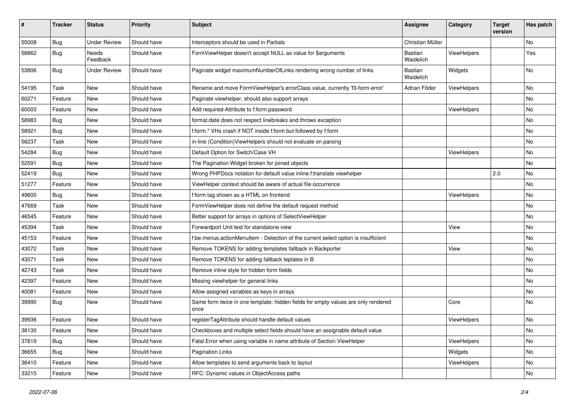| $\sharp$ | <b>Tracker</b> | <b>Status</b>       | <b>Priority</b> | Subject                                                                                   | <b>Assignee</b>      | Category    | <b>Target</b><br>version | Has patch |
|----------|----------------|---------------------|-----------------|-------------------------------------------------------------------------------------------|----------------------|-------------|--------------------------|-----------|
| 55008    | Bug            | <b>Under Review</b> | Should have     | Interceptors should be used in Partials                                                   | Christian Müller     |             |                          | <b>No</b> |
| 58862    | <b>Bug</b>     | Needs<br>Feedback   | Should have     | FormViewHelper doesn't accept NULL as value for \$arguments                               | Bastian<br>Waidelich | ViewHelpers |                          | Yes       |
| 53806    | Bug            | <b>Under Review</b> | Should have     | Paginate widget maximumNumberOfLinks rendering wrong number of links                      | Bastian<br>Waidelich | Widgets     |                          | <b>No</b> |
| 54195    | Task           | New                 | Should have     | Rename and move FormViewHelper's errorClass value, currently 'f3-form-error'              | Adrian Föder         | ViewHelpers |                          | No        |
| 60271    | Feature        | New                 | Should have     | Paginate viewhelper, should also support arrays                                           |                      |             |                          | No        |
| 60003    | Feature        | New                 | Should have     | Add required-Attribute to f:form.password                                                 |                      | ViewHelpers |                          | No        |
| 58983    | Bug            | New                 | Should have     | format.date does not respect linebreaks and throws exception                              |                      |             |                          | No        |
| 58921    | Bug            | New                 | Should have     | f:form.* VHs crash if NOT inside f:form but followed by f:form                            |                      |             |                          | No        |
| 56237    | Task           | New                 | Should have     | in-line (Condition) View Helpers should not evaluate on parsing                           |                      |             |                          | No        |
| 54284    | Bug            | New                 | Should have     | Default Option for Switch/Case VH                                                         |                      | ViewHelpers |                          | No        |
| 52591    | Bug            | New                 | Should have     | The Pagination Widget broken for joined objects                                           |                      |             |                          | No        |
| 52419    | Bug            | New                 | Should have     | Wrong PHPDocs notation for default value inline f:translate viewhelper                    |                      |             | 2.0                      | No        |
| 51277    | Feature        | New                 | Should have     | ViewHelper context should be aware of actual file occurrence                              |                      |             |                          | No        |
| 49600    | Bug            | New                 | Should have     | f:form tag shown as a HTML on frontend                                                    |                      | ViewHelpers |                          | No        |
| 47669    | Task           | New                 | Should have     | FormViewHelper does not define the default request method                                 |                      |             |                          | No        |
| 46545    | Feature        | New                 | Should have     | Better support for arrays in options of SelectViewHelper                                  |                      |             |                          | No        |
| 45394    | Task           | New                 | Should have     | Forwardport Unit test for standalone view                                                 |                      | View        |                          | <b>No</b> |
| 45153    | Feature        | New                 | Should have     | f:be.menus.actionMenuItem - Detection of the current select option is insufficient        |                      |             |                          | No        |
| 43072    | Task           | New                 | Should have     | Remove TOKENS for adding templates fallback in Backporter                                 |                      | View        |                          | No        |
| 43071    | Task           | New                 | Should have     | Remove TOKENS for adding fallback teplates in B                                           |                      |             |                          | No        |
| 42743    | Task           | New                 | Should have     | Remove inline style for hidden form fields                                                |                      |             |                          | No        |
| 42397    | Feature        | New                 | Should have     | Missing viewhelper for general links                                                      |                      |             |                          | <b>No</b> |
| 40081    | Feature        | New                 | Should have     | Allow assigned variables as keys in arrays                                                |                      |             |                          | No        |
| 39990    | Bug            | New                 | Should have     | Same form twice in one template: hidden fields for empty values are only rendered<br>once |                      | Core        |                          | <b>No</b> |
| 39936    | Feature        | New                 | Should have     | registerTagAttribute should handle default values                                         |                      | ViewHelpers |                          | <b>No</b> |
| 38130    | Feature        | New                 | Should have     | Checkboxes and multiple select fields should have an assignable default value             |                      |             |                          | No        |
| 37619    | <b>Bug</b>     | New                 | Should have     | Fatal Error when using variable in name attribute of Section ViewHelper                   |                      | ViewHelpers |                          | No        |
| 36655    | Bug            | New                 | Should have     | <b>Pagination Links</b>                                                                   |                      | Widgets     |                          | No        |
| 36410    | Feature        | New                 | Should have     | Allow templates to send arguments back to layout                                          |                      | ViewHelpers |                          | No        |
| 33215    | Feature        | New                 | Should have     | RFC: Dynamic values in ObjectAccess paths                                                 |                      |             |                          | No        |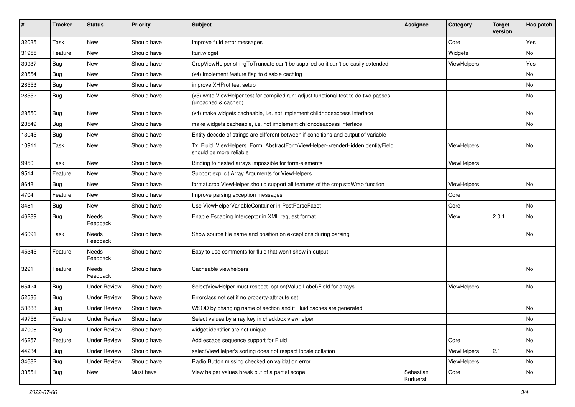| ∦     | <b>Tracker</b> | <b>Status</b>            | <b>Priority</b> | <b>Subject</b>                                                                                              | <b>Assignee</b>        | Category    | <b>Target</b><br>version | Has patch |
|-------|----------------|--------------------------|-----------------|-------------------------------------------------------------------------------------------------------------|------------------------|-------------|--------------------------|-----------|
| 32035 | Task           | New                      | Should have     | Improve fluid error messages                                                                                |                        | Core        |                          | Yes       |
| 31955 | Feature        | New                      | Should have     | f:uri.widget                                                                                                |                        | Widgets     |                          | No        |
| 30937 | Bug            | New                      | Should have     | CropViewHelper stringToTruncate can't be supplied so it can't be easily extended                            |                        | ViewHelpers |                          | Yes       |
| 28554 | Bug            | New                      | Should have     | (v4) implement feature flag to disable caching                                                              |                        |             |                          | No        |
| 28553 | Bug            | New                      | Should have     | improve XHProf test setup                                                                                   |                        |             |                          | No        |
| 28552 | Bug            | New                      | Should have     | (v5) write ViewHelper test for compiled run; adjust functional test to do two passes<br>(uncached & cached) |                        |             |                          | No        |
| 28550 | Bug            | New                      | Should have     | (v4) make widgets cacheable, i.e. not implement childnodeaccess interface                                   |                        |             |                          | No        |
| 28549 | Bug            | <b>New</b>               | Should have     | make widgets cacheable, i.e. not implement childnodeaccess interface                                        |                        |             |                          | No        |
| 13045 | Bug            | New                      | Should have     | Entity decode of strings are different between if-conditions and output of variable                         |                        |             |                          |           |
| 10911 | Task           | New                      | Should have     | Tx_Fluid_ViewHelpers_Form_AbstractFormViewHelper->renderHiddenIdentityField<br>should be more reliable      |                        | ViewHelpers |                          | No        |
| 9950  | Task           | New                      | Should have     | Binding to nested arrays impossible for form-elements                                                       |                        | ViewHelpers |                          |           |
| 9514  | Feature        | <b>New</b>               | Should have     | Support explicit Array Arguments for ViewHelpers                                                            |                        |             |                          |           |
| 8648  | Bug            | New                      | Should have     | format.crop ViewHelper should support all features of the crop stdWrap function                             |                        | ViewHelpers |                          | No        |
| 4704  | Feature        | New                      | Should have     | Improve parsing exception messages                                                                          |                        | Core        |                          |           |
| 3481  | Bug            | New                      | Should have     | Use ViewHelperVariableContainer in PostParseFacet                                                           |                        | Core        |                          | No        |
| 46289 | <b>Bug</b>     | Needs<br>Feedback        | Should have     | Enable Escaping Interceptor in XML request format                                                           |                        | View        | 2.0.1                    | No        |
| 46091 | Task           | Needs<br>Feedback        | Should have     | Show source file name and position on exceptions during parsing                                             |                        |             |                          | No        |
| 45345 | Feature        | <b>Needs</b><br>Feedback | Should have     | Easy to use comments for fluid that won't show in output                                                    |                        |             |                          |           |
| 3291  | Feature        | Needs<br>Feedback        | Should have     | Cacheable viewhelpers                                                                                       |                        |             |                          | No        |
| 65424 | Bug            | <b>Under Review</b>      | Should have     | SelectViewHelper must respect option(Value Label)Field for arrays                                           |                        | ViewHelpers |                          | No        |
| 52536 | Bug            | <b>Under Review</b>      | Should have     | Errorclass not set if no property-attribute set                                                             |                        |             |                          |           |
| 50888 | Bug            | <b>Under Review</b>      | Should have     | WSOD by changing name of section and if Fluid caches are generated                                          |                        |             |                          | No        |
| 49756 | Feature        | <b>Under Review</b>      | Should have     | Select values by array key in checkbox viewhelper                                                           |                        |             |                          | No        |
| 47006 | <b>Bug</b>     | <b>Under Review</b>      | Should have     | widget identifier are not unique                                                                            |                        |             |                          | No        |
| 46257 | Feature        | <b>Under Review</b>      | Should have     | Add escape sequence support for Fluid                                                                       |                        | Core        |                          | No        |
| 44234 | Bug            | <b>Under Review</b>      | Should have     | selectViewHelper's sorting does not respect locale collation                                                |                        | ViewHelpers | 2.1                      | No        |
| 34682 | <b>Bug</b>     | <b>Under Review</b>      | Should have     | Radio Button missing checked on validation error                                                            |                        | ViewHelpers |                          | No        |
| 33551 | <b>Bug</b>     | New                      | Must have       | View helper values break out of a partial scope                                                             | Sebastian<br>Kurfuerst | Core        |                          | No        |